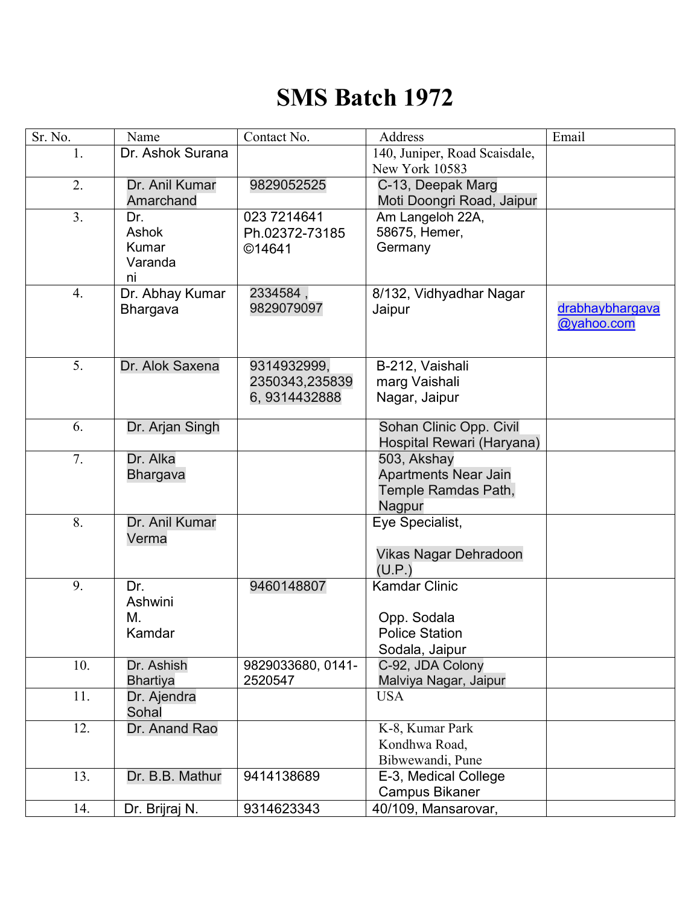## **SMS Batch 1972**

| Sr. No.          | Name             | Contact No.       | Address                              | Email           |
|------------------|------------------|-------------------|--------------------------------------|-----------------|
| 1.               | Dr. Ashok Surana |                   | 140, Juniper, Road Scaisdale,        |                 |
|                  |                  |                   | <b>New York 10583</b>                |                 |
| 2.               | Dr. Anil Kumar   | 9829052525        | C-13, Deepak Marg                    |                 |
|                  | Amarchand        |                   | Moti Doongri Road, Jaipur            |                 |
| 3 <sub>1</sub>   | Dr.              | 023 7214641       | Am Langeloh 22A,                     |                 |
|                  | Ashok            | Ph.02372-73185    | 58675, Hemer,                        |                 |
|                  | Kumar            | ©14641            | Germany                              |                 |
|                  | Varanda          |                   |                                      |                 |
|                  | ni               |                   |                                      |                 |
| $\overline{4}$ . | Dr. Abhay Kumar  | 2334584,          | 8/132, Vidhyadhar Nagar              |                 |
|                  | <b>Bhargava</b>  | 9829079097        | Jaipur                               | drabhaybhargava |
|                  |                  |                   |                                      | @yahoo.com      |
|                  |                  |                   |                                      |                 |
| 5.               | Dr. Alok Saxena  | 9314932999,       | B-212, Vaishali                      |                 |
|                  |                  | 2350343,235839    | marg Vaishali                        |                 |
|                  |                  | 6, 9314432888     | Nagar, Jaipur                        |                 |
|                  |                  |                   |                                      |                 |
| 6.               | Dr. Arjan Singh  |                   | Sohan Clinic Opp. Civil              |                 |
|                  |                  |                   | Hospital Rewari (Haryana)            |                 |
| 7.               | Dr. Alka         |                   | 503, Akshay                          |                 |
|                  | <b>Bhargava</b>  |                   | <b>Apartments Near Jain</b>          |                 |
|                  |                  |                   | Temple Ramdas Path,                  |                 |
|                  |                  |                   | Nagpur                               |                 |
| 8.               | Dr. Anil Kumar   |                   | Eye Specialist,                      |                 |
|                  | Verma            |                   |                                      |                 |
|                  |                  |                   | Vikas Nagar Dehradoon                |                 |
|                  |                  |                   | (U.P.)                               |                 |
| 9.               | Dr.              | 9460148807        | Kamdar Clinic                        |                 |
|                  | Ashwini          |                   |                                      |                 |
|                  | М.               |                   | Opp. Sodala<br><b>Police Station</b> |                 |
|                  | Kamdar           |                   |                                      |                 |
| 10.              | Dr. Ashish       | 9829033680, 0141- | Sodala, Jaipur<br>C-92, JDA Colony   |                 |
|                  | <b>Bhartiya</b>  | 2520547           | Malviya Nagar, Jaipur                |                 |
| 11.              | Dr. Ajendra      |                   | <b>USA</b>                           |                 |
|                  | Sohal            |                   |                                      |                 |
| 12.              | Dr. Anand Rao    |                   | K-8, Kumar Park                      |                 |
|                  |                  |                   | Kondhwa Road,                        |                 |
|                  |                  |                   | Bibwewandi, Pune                     |                 |
| 13.              | Dr. B.B. Mathur  | 9414138689        | E-3, Medical College                 |                 |
|                  |                  |                   | <b>Campus Bikaner</b>                |                 |
| 14.              | Dr. Brijraj N.   | 9314623343        | 40/109, Mansarovar,                  |                 |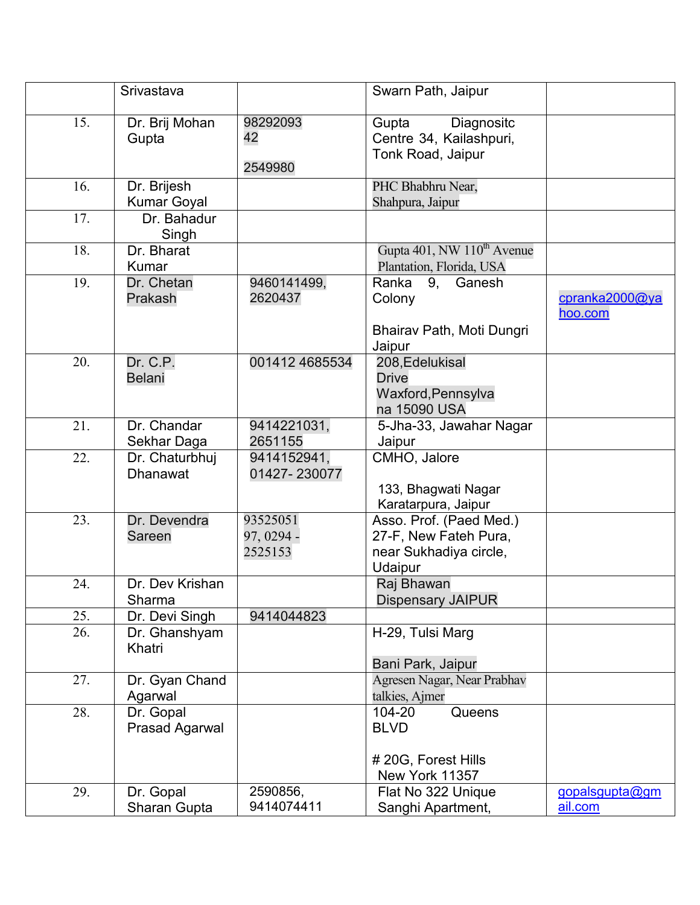|     | Srivastava                        |                        | Swarn Path, Jaipur                                                  |                           |
|-----|-----------------------------------|------------------------|---------------------------------------------------------------------|---------------------------|
| 15. | Dr. Brij Mohan<br>Gupta           | 98292093<br>42         | Diagnositc<br>Gupta<br>Centre 34, Kailashpuri,<br>Tonk Road, Jaipur |                           |
|     |                                   | 2549980                |                                                                     |                           |
| 16. | Dr. Brijesh<br><b>Kumar Goyal</b> |                        | PHC Bhabhru Near,<br>Shahpura, Jaipur                               |                           |
| 17. | Dr. Bahadur<br>Singh              |                        |                                                                     |                           |
| 18. | Dr. Bharat<br>Kumar               |                        | Gupta 401, NW 110 <sup>th</sup> Avenue<br>Plantation, Florida, USA  |                           |
| 19. | Dr. Chetan<br>Prakash             | 9460141499,<br>2620437 | Ranka 9, Ganesh<br>Colony<br>Bhairav Path, Moti Dungri              | cpranka2000@ya<br>hoo.com |
|     |                                   |                        | Jaipur                                                              |                           |
| 20. | Dr. C.P.                          | 001412 4685534         | 208, Edelukisal                                                     |                           |
|     | <b>Belani</b>                     |                        | <b>Drive</b>                                                        |                           |
|     |                                   |                        | Waxford, Pennsylva                                                  |                           |
|     |                                   |                        | na 15090 USA                                                        |                           |
| 21. | Dr. Chandar                       | 9414221031,            | 5-Jha-33, Jawahar Nagar                                             |                           |
|     | Sekhar Daga                       | 2651155                | Jaipur                                                              |                           |
| 22. | Dr. Chaturbhuj                    | 9414152941,            | CMHO, Jalore                                                        |                           |
|     | <b>Dhanawat</b>                   | 01427-230077           |                                                                     |                           |
|     |                                   |                        | 133, Bhagwati Nagar                                                 |                           |
|     |                                   |                        | Karatarpura, Jaipur                                                 |                           |
| 23. | Dr. Devendra                      | 93525051               | Asso. Prof. (Paed Med.)                                             |                           |
|     | Sareen                            | 97, 0294 -             | 27-F, New Fateh Pura,                                               |                           |
|     |                                   | 2525153                | near Sukhadiya circle,                                              |                           |
|     |                                   |                        | Udaipur                                                             |                           |
| 24. | Dr. Dev Krishan                   |                        | Raj Bhawan                                                          |                           |
|     | Sharma                            |                        | <b>Dispensary JAIPUR</b>                                            |                           |
| 25. | Dr. Devi Singh                    | 9414044823             |                                                                     |                           |
| 26. | Dr. Ghanshyam                     |                        | H-29, Tulsi Marg                                                    |                           |
|     | Khatri                            |                        |                                                                     |                           |
|     |                                   |                        | Bani Park, Jaipur                                                   |                           |
| 27. | Dr. Gyan Chand                    |                        | Agresen Nagar, Near Prabhav                                         |                           |
|     | Agarwal                           |                        | talkies, Ajmer                                                      |                           |
| 28. | Dr. Gopal                         |                        | 104-20<br>Queens                                                    |                           |
|     | <b>Prasad Agarwal</b>             |                        | <b>BLVD</b>                                                         |                           |
|     |                                   |                        |                                                                     |                           |
|     |                                   |                        | # 20G, Forest Hills                                                 |                           |
|     |                                   |                        | New York 11357                                                      |                           |
| 29. | Dr. Gopal                         | 2590856,               | Flat No 322 Unique                                                  | gopalsgupta@gm            |
|     | Sharan Gupta                      | 9414074411             | Sanghi Apartment,                                                   | ail.com                   |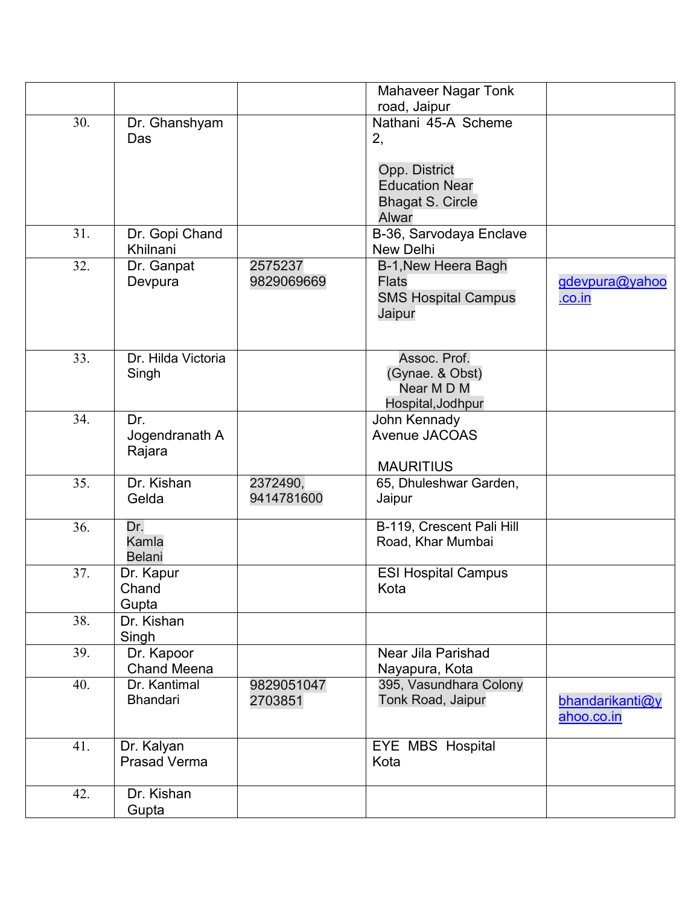|     |                                   |                        | <b>Mahaveer Nagar Tonk</b>                                                  |                               |
|-----|-----------------------------------|------------------------|-----------------------------------------------------------------------------|-------------------------------|
|     |                                   |                        | road, Jaipur                                                                |                               |
| 30. | Dr. Ghanshyam<br>Das              |                        | Nathani 45-A Scheme<br>2,                                                   |                               |
|     |                                   |                        | Opp. District<br><b>Education Near</b><br><b>Bhagat S. Circle</b><br>Alwar  |                               |
| 31. | Dr. Gopi Chand<br>Khilnani        |                        | B-36, Sarvodaya Enclave<br>New Delhi                                        |                               |
| 32. | Dr. Ganpat<br>Devpura             | 2575237<br>9829069669  | B-1, New Heera Bagh<br><b>Flats</b><br><b>SMS Hospital Campus</b><br>Jaipur | gdevpura@yahoo<br>.co.in      |
| 33. | Dr. Hilda Victoria<br>Singh       |                        | Assoc. Prof.<br>(Gynae. & Obst)<br>Near MD M<br>Hospital, Jodhpur           |                               |
| 34. | Dr.<br>Jogendranath A<br>Rajara   |                        | John Kennady<br><b>Avenue JACOAS</b>                                        |                               |
|     |                                   |                        | <b>MAURITIUS</b>                                                            |                               |
| 35. | Dr. Kishan<br>Gelda               | 2372490,<br>9414781600 | 65, Dhuleshwar Garden,<br>Jaipur                                            |                               |
| 36. | Dr.<br>Kamla<br><b>Belani</b>     |                        | B-119, Crescent Pali Hill<br>Road, Khar Mumbai                              |                               |
| 37. | Dr. Kapur<br>Chand<br>Gupta       |                        | <b>ESI Hospital Campus</b><br>Kota                                          |                               |
| 38. | Dr. Kishan<br>Singh               |                        |                                                                             |                               |
| 39. | Dr. Kapoor<br><b>Chand Meena</b>  |                        | Near Jila Parishad<br>Nayapura, Kota                                        |                               |
| 40. | Dr. Kantimal<br><b>Bhandari</b>   | 9829051047<br>2703851  | 395, Vasundhara Colony<br>Tonk Road, Jaipur                                 | bhandarikanti@y<br>ahoo.co.in |
| 41. | Dr. Kalyan<br><b>Prasad Verma</b> |                        | EYE MBS Hospital<br>Kota                                                    |                               |
| 42. | Dr. Kishan<br>Gupta               |                        |                                                                             |                               |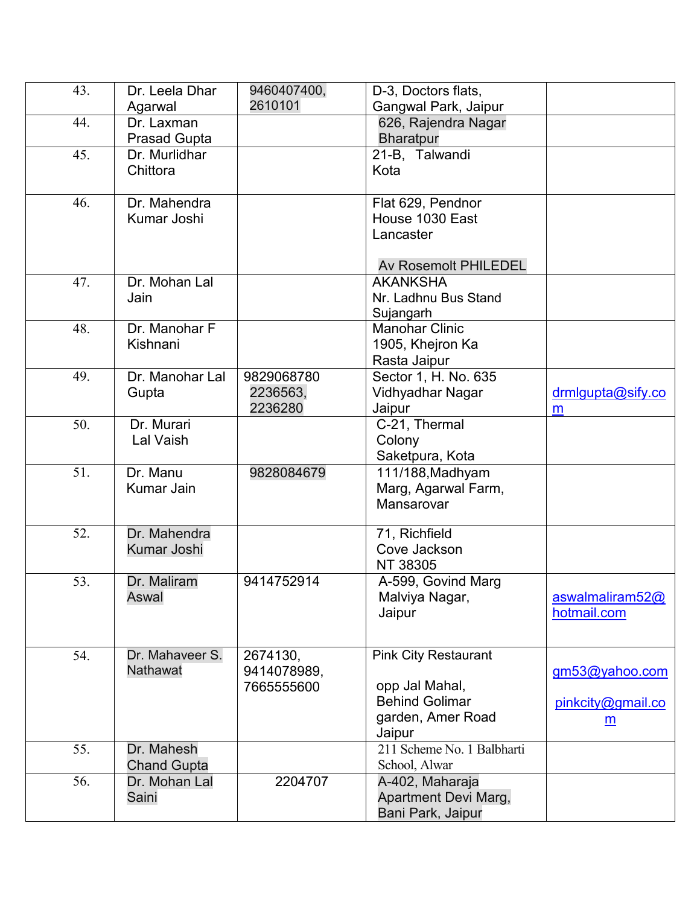| 43. | Dr. Leela Dhar      | 9460407400, | D-3, Doctors flats,                |                   |
|-----|---------------------|-------------|------------------------------------|-------------------|
|     | Agarwal             | 2610101     | Gangwal Park, Jaipur               |                   |
| 44. | Dr. Laxman          |             | 626, Rajendra Nagar                |                   |
|     | <b>Prasad Gupta</b> |             | <b>Bharatpur</b>                   |                   |
| 45. | Dr. Murlidhar       |             | 21-B, Talwandi                     |                   |
|     | Chittora            |             | Kota                               |                   |
|     |                     |             |                                    |                   |
| 46. | Dr. Mahendra        |             | Flat 629, Pendnor                  |                   |
|     | Kumar Joshi         |             | House 1030 East                    |                   |
|     |                     |             | Lancaster                          |                   |
|     |                     |             |                                    |                   |
|     |                     |             | Av Rosemolt PHILEDEL               |                   |
| 47. | Dr. Mohan Lal       |             | <b>AKANKSHA</b>                    |                   |
|     | Jain                |             | Nr. Ladhnu Bus Stand               |                   |
| 48. | Dr. Manohar F       |             | Sujangarh<br><b>Manohar Clinic</b> |                   |
|     | Kishnani            |             | 1905, Khejron Ka                   |                   |
|     |                     |             | Rasta Jaipur                       |                   |
| 49. | Dr. Manohar Lal     | 9829068780  | Sector 1, H. No. 635               |                   |
|     | Gupta               | 2236563,    | Vidhyadhar Nagar                   | drmlgupta@sify.co |
|     |                     | 2236280     | Jaipur                             | m                 |
| 50. | Dr. Murari          |             | C-21, Thermal                      |                   |
|     | Lal Vaish           |             | Colony                             |                   |
|     |                     |             | Saketpura, Kota                    |                   |
| 51. | Dr. Manu            | 9828084679  | 111/188, Madhyam                   |                   |
|     | Kumar Jain          |             | Marg, Agarwal Farm,                |                   |
|     |                     |             | Mansarovar                         |                   |
|     |                     |             |                                    |                   |
| 52. | Dr. Mahendra        |             | 71, Richfield                      |                   |
|     | <b>Kumar Joshi</b>  |             | Cove Jackson                       |                   |
|     |                     |             | NT 38305                           |                   |
| 53. | Dr. Maliram         | 9414752914  | A-599, Govind Marg                 |                   |
|     | Aswal               |             | Malviya Nagar,                     | aswalmaliram52@   |
|     |                     |             | Jaipur                             | hotmail.com       |
|     |                     |             |                                    |                   |
| 54. | Dr. Mahaveer S.     | 2674130,    | <b>Pink City Restaurant</b>        |                   |
|     | Nathawat            | 9414078989, |                                    | gm53@yahoo.com    |
|     |                     | 7665555600  | opp Jal Mahal,                     |                   |
|     |                     |             | <b>Behind Golimar</b>              | pinkcity@gmail.co |
|     |                     |             | garden, Amer Road                  | $\underline{m}$   |
|     |                     |             | Jaipur                             |                   |
| 55. | Dr. Mahesh          |             | 211 Scheme No. 1 Balbharti         |                   |
|     | <b>Chand Gupta</b>  |             | School, Alwar                      |                   |
| 56. | Dr. Mohan Lal       | 2204707     | A-402, Maharaja                    |                   |
|     | Saini               |             | Apartment Devi Marg,               |                   |
|     |                     |             | Bani Park, Jaipur                  |                   |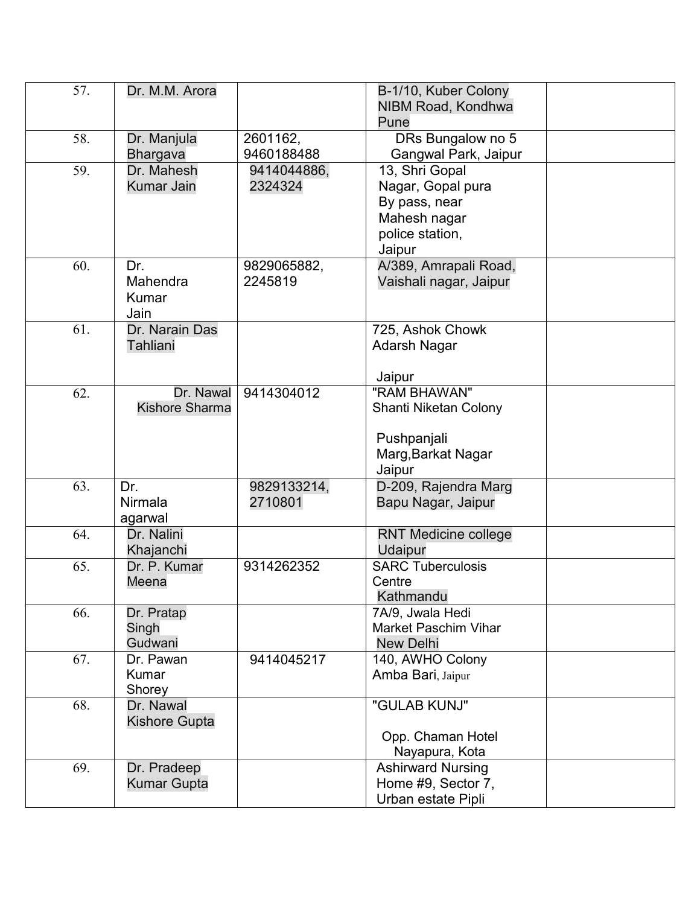| 57. | Dr. M.M. Arora                          |                        | B-1/10, Kuber Colony<br>NIBM Road, Kondhwa<br>Pune                                                |  |
|-----|-----------------------------------------|------------------------|---------------------------------------------------------------------------------------------------|--|
| 58. | Dr. Manjula<br><b>Bhargava</b>          | 2601162,<br>9460188488 | DRs Bungalow no 5<br>Gangwal Park, Jaipur                                                         |  |
| 59. | Dr. Mahesh<br><b>Kumar Jain</b>         | 9414044886,<br>2324324 | 13, Shri Gopal<br>Nagar, Gopal pura<br>By pass, near<br>Mahesh nagar<br>police station,<br>Jaipur |  |
| 60. | Dr.<br>Mahendra<br><b>Kumar</b><br>Jain | 9829065882,<br>2245819 | A/389, Amrapali Road,<br>Vaishali nagar, Jaipur                                                   |  |
| 61. | Dr. Narain Das<br><b>Tahliani</b>       |                        | 725, Ashok Chowk<br>Adarsh Nagar<br>Jaipur                                                        |  |
| 62. | Dr. Nawal<br><b>Kishore Sharma</b>      | 9414304012             | "RAM BHAWAN"<br>Shanti Niketan Colony<br>Pushpanjali<br>Marg, Barkat Nagar<br>Jaipur              |  |
| 63. | Dr.<br>Nirmala<br>agarwal               | 9829133214,<br>2710801 | D-209, Rajendra Marg<br>Bapu Nagar, Jaipur                                                        |  |
| 64. | Dr. Nalini<br>Khajanchi                 |                        | <b>RNT Medicine college</b><br><b>Udaipur</b>                                                     |  |
| 65. | Dr. P. Kumar<br>Meena                   | 9314262352             | <b>SARC Tuberculosis</b><br>Centre<br>Kathmandu                                                   |  |
| 66. | Dr. Pratap<br>Singh<br>Gudwani          |                        | 7A/9, Jwala Hedi<br><b>Market Paschim Vihar</b><br><b>New Delhi</b>                               |  |
| 67. | Dr. Pawan<br>Kumar<br>Shorey            | 9414045217             | 140, AWHO Colony<br>Amba Bari, Jaipur                                                             |  |
| 68. | Dr. Nawal<br><b>Kishore Gupta</b>       |                        | "GULAB KUNJ"<br>Opp. Chaman Hotel<br>Nayapura, Kota                                               |  |
| 69. | Dr. Pradeep<br><b>Kumar Gupta</b>       |                        | <b>Ashirward Nursing</b><br>Home #9, Sector 7,<br>Urban estate Pipli                              |  |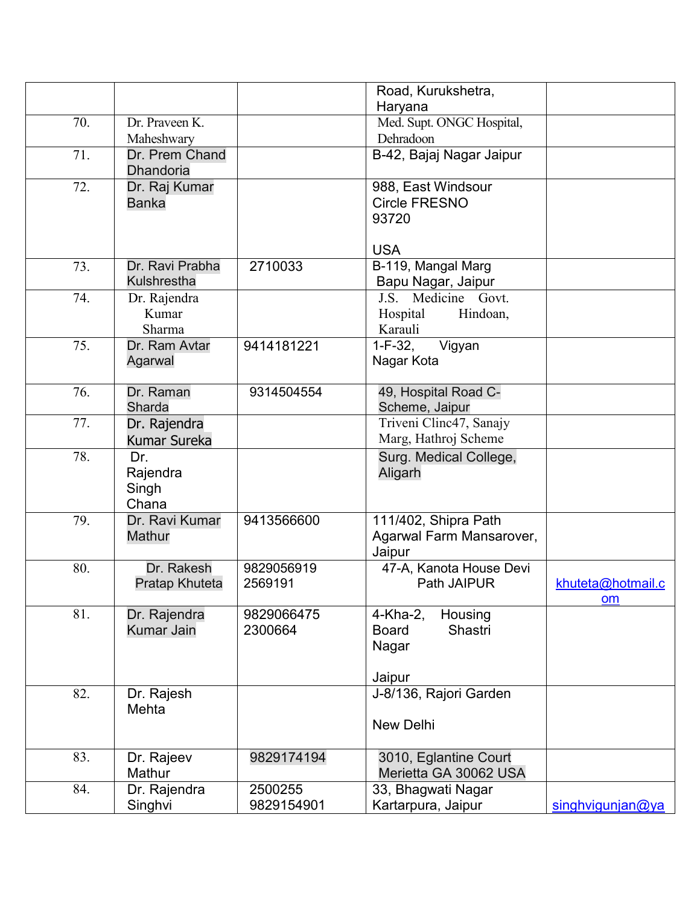|     |                                   |                       | Road, Kurukshetra,                                |                   |
|-----|-----------------------------------|-----------------------|---------------------------------------------------|-------------------|
|     |                                   |                       | Haryana                                           |                   |
| 70. | Dr. Praveen K.                    |                       | Med. Supt. ONGC Hospital,                         |                   |
|     | Maheshwary                        |                       | Dehradoon                                         |                   |
| 71. | Dr. Prem Chand                    |                       | B-42, Bajaj Nagar Jaipur                          |                   |
|     | <b>Dhandoria</b>                  |                       |                                                   |                   |
| 72. | Dr. Raj Kumar                     |                       | 988, East Windsour                                |                   |
|     | Banka                             |                       | <b>Circle FRESNO</b>                              |                   |
|     |                                   |                       | 93720                                             |                   |
|     |                                   |                       |                                                   |                   |
|     |                                   |                       | <b>USA</b>                                        |                   |
| 73. | Dr. Ravi Prabha                   | 2710033               | B-119, Mangal Marg                                |                   |
|     | Kulshrestha                       |                       | Bapu Nagar, Jaipur                                |                   |
| 74. | Dr. Rajendra                      |                       | J.S. Medicine Govt.                               |                   |
|     | Kumar                             |                       | Hospital<br>Hindoan,                              |                   |
|     | Sharma                            |                       | Karauli                                           |                   |
| 75. | Dr. Ram Avtar                     | 9414181221            | $1-F-32$ ,<br>Vigyan                              |                   |
|     | Agarwal                           |                       | Nagar Kota                                        |                   |
|     |                                   |                       |                                                   |                   |
| 76. | Dr. Raman                         | 9314504554            | 49, Hospital Road C-                              |                   |
|     | Sharda                            |                       | Scheme, Jaipur                                    |                   |
| 77. | Dr. Rajendra                      |                       | Triveni Clinc47, Sanajy                           |                   |
|     | <b>Kumar Sureka</b>               |                       | Marg, Hathroj Scheme                              |                   |
| 78. | Dr.                               |                       | Surg. Medical College,                            |                   |
|     | Rajendra                          |                       | Aligarh                                           |                   |
|     | Singh                             |                       |                                                   |                   |
|     | Chana                             |                       |                                                   |                   |
| 79. | Dr. Ravi Kumar                    | 9413566600            | 111/402, Shipra Path                              |                   |
|     | Mathur                            |                       | Agarwal Farm Mansarover,                          |                   |
|     |                                   |                       | Jaipur                                            |                   |
| 80. | Dr. Rakesh                        | 9829056919            | 47-A, Kanota House Devi                           |                   |
|     | Pratap Khuteta                    | 2569191               | Path JAIPUR                                       | khuteta@hotmail.c |
| 81. |                                   |                       |                                                   | om                |
|     | Dr. Rajendra<br><b>Kumar Jain</b> | 9829066475<br>2300664 | $4-Kha-2$ ,<br>Housing<br>Shastri<br><b>Board</b> |                   |
|     |                                   |                       | Nagar                                             |                   |
|     |                                   |                       |                                                   |                   |
|     |                                   |                       | Jaipur                                            |                   |
| 82. | Dr. Rajesh                        |                       | J-8/136, Rajori Garden                            |                   |
|     | Mehta                             |                       |                                                   |                   |
|     |                                   |                       | New Delhi                                         |                   |
|     |                                   |                       |                                                   |                   |
| 83. | Dr. Rajeev                        | 9829174194            | 3010, Eglantine Court                             |                   |
|     | Mathur                            |                       | Merietta GA 30062 USA                             |                   |
| 84. | Dr. Rajendra                      | 2500255               | 33, Bhagwati Nagar                                |                   |
|     | Singhvi                           | 9829154901            | Kartarpura, Jaipur                                | singhvigunjan@ya  |
|     |                                   |                       |                                                   |                   |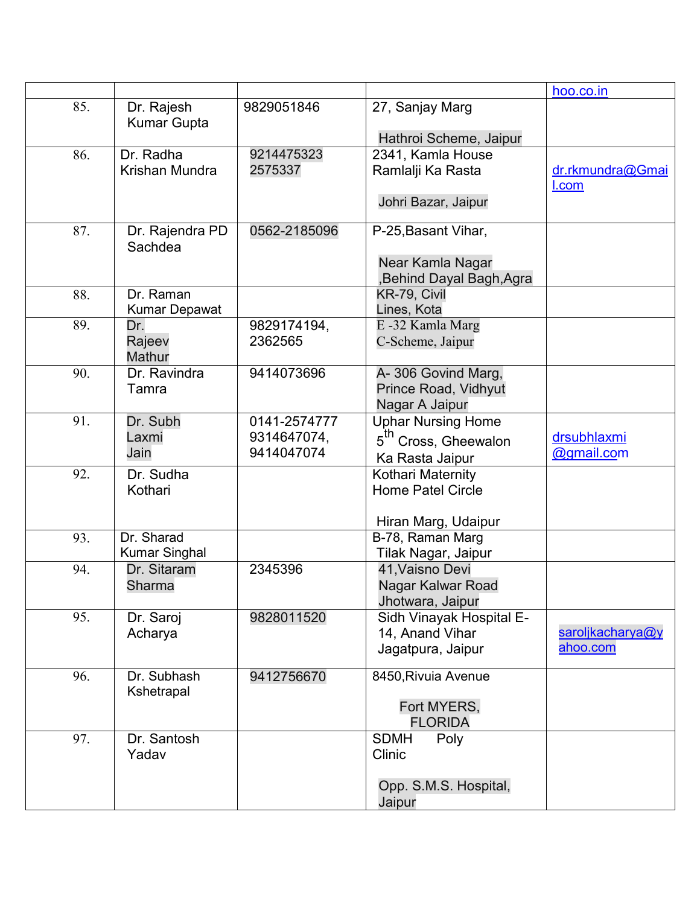|     |                                    |              |                                        | hoo.co.in                        |
|-----|------------------------------------|--------------|----------------------------------------|----------------------------------|
| 85. | Dr. Rajesh                         | 9829051846   | 27, Sanjay Marg                        |                                  |
|     | <b>Kumar Gupta</b>                 |              |                                        |                                  |
|     |                                    |              | Hathroi Scheme, Jaipur                 |                                  |
| 86. | Dr. Radha                          | 9214475323   | 2341, Kamla House                      |                                  |
|     | Krishan Mundra                     | 2575337      | Ramlalji Ka Rasta                      | dr.rkmundra@Gmai<br><u>I.com</u> |
|     |                                    |              | Johri Bazar, Jaipur                    |                                  |
|     |                                    |              |                                        |                                  |
| 87. | Dr. Rajendra PD                    | 0562-2185096 | P-25, Basant Vihar,                    |                                  |
|     | Sachdea                            |              |                                        |                                  |
|     |                                    |              | Near Kamla Nagar                       |                                  |
|     |                                    |              | Behind Dayal Bagh, Agra                |                                  |
| 88. | Dr. Raman                          |              | KR-79, Civil                           |                                  |
| 89. | <b>Kumar Depawat</b><br>Dr.        | 9829174194,  | Lines, Kota<br>E-32 Kamla Marg         |                                  |
|     | Rajeev                             | 2362565      | C-Scheme, Jaipur                       |                                  |
|     | Mathur                             |              |                                        |                                  |
| 90. | Dr. Ravindra                       | 9414073696   | A-306 Govind Marg,                     |                                  |
|     | Tamra                              |              | Prince Road, Vidhyut                   |                                  |
|     |                                    |              | Nagar A Jaipur                         |                                  |
| 91. | Dr. Subh                           | 0141-2574777 | <b>Uphar Nursing Home</b>              |                                  |
|     | Laxmi                              | 9314647074,  | 5 <sup>th</sup> Cross, Gheewalon       | drsubhlaxmi                      |
|     | Jain                               | 9414047074   | Ka Rasta Jaipur                        | @gmail.com                       |
| 92. | Dr. Sudha                          |              | Kothari Maternity                      |                                  |
|     | Kothari                            |              | <b>Home Patel Circle</b>               |                                  |
|     |                                    |              |                                        |                                  |
|     |                                    |              | Hiran Marg, Udaipur                    |                                  |
| 93. | Dr. Sharad<br><b>Kumar Singhal</b> |              | B-78, Raman Marg                       |                                  |
| 94. | Dr. Sitaram                        | 2345396      | Tilak Nagar, Jaipur<br>41, Vaisno Devi |                                  |
|     | Sharma                             |              | Nagar Kalwar Road                      |                                  |
|     |                                    |              | Jhotwara, Jaipur                       |                                  |
| 95. | Dr. Saroj                          | 9828011520   | Sidh Vinayak Hospital E-               |                                  |
|     | Acharya                            |              | 14, Anand Vihar                        | saroljkacharya@y                 |
|     |                                    |              | Jagatpura, Jaipur                      | ahoo.com                         |
| 96. | Dr. Subhash                        |              | 8450, Rivuia Avenue                    |                                  |
|     | Kshetrapal                         | 9412756670   |                                        |                                  |
|     |                                    |              | Fort MYERS,                            |                                  |
|     |                                    |              | <b>FLORIDA</b>                         |                                  |
| 97. | Dr. Santosh                        |              | <b>SDMH</b><br>Poly                    |                                  |
|     | Yadav                              |              | Clinic                                 |                                  |
|     |                                    |              |                                        |                                  |
|     |                                    |              | Opp. S.M.S. Hospital,                  |                                  |
|     |                                    |              | Jaipur                                 |                                  |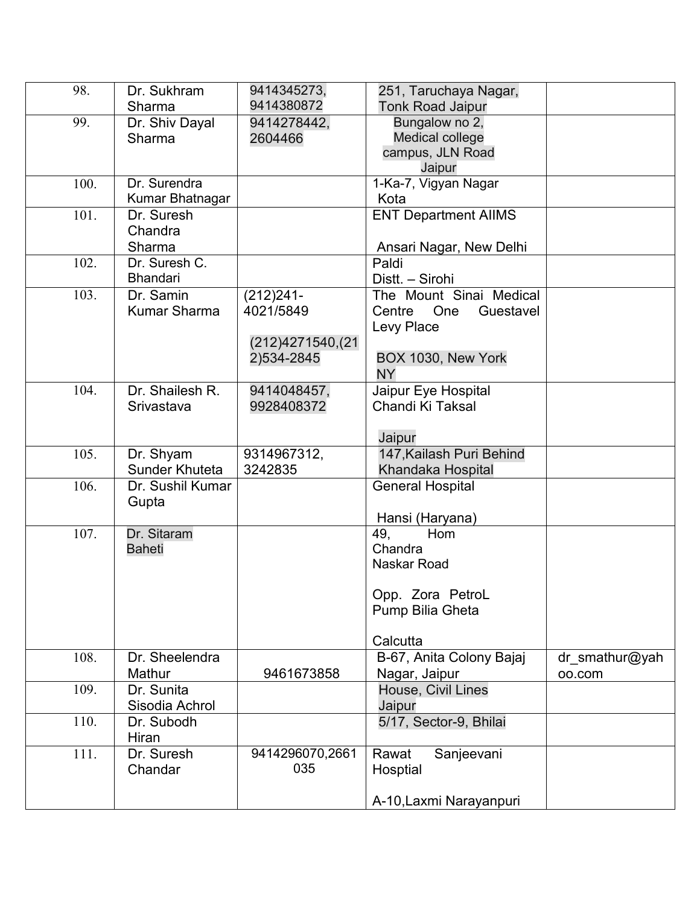| 98.  | Dr. Sukhram         | 9414345273,       | 251, Taruchaya Nagar,       |                |
|------|---------------------|-------------------|-----------------------------|----------------|
|      | Sharma              | 9414380872        | <b>Tonk Road Jaipur</b>     |                |
| 99.  | Dr. Shiv Dayal      | 9414278442,       | Bungalow no 2,              |                |
|      | Sharma              | 2604466           | Medical college             |                |
|      |                     |                   | campus, JLN Road            |                |
|      |                     |                   | Jaipur                      |                |
| 100. | Dr. Surendra        |                   | 1-Ka-7, Vigyan Nagar        |                |
|      | Kumar Bhatnagar     |                   | Kota                        |                |
| 101. | Dr. Suresh          |                   | <b>ENT Department AIIMS</b> |                |
|      | Chandra             |                   |                             |                |
|      | Sharma              |                   | Ansari Nagar, New Delhi     |                |
| 102. | Dr. Suresh C.       |                   | Paldi                       |                |
|      | <b>Bhandari</b>     |                   | Distt. - Sirohi             |                |
| 103. | Dr. Samin           | $(212)241-$       | The Mount Sinai Medical     |                |
|      | <b>Kumar Sharma</b> | 4021/5849         | Guestavel<br>Centre<br>One  |                |
|      |                     |                   | Levy Place                  |                |
|      |                     | (212)4271540, (21 |                             |                |
|      |                     | 2)534-2845        | BOX 1030, New York          |                |
|      |                     |                   | <b>NY</b>                   |                |
| 104. | Dr. Shailesh R.     | 9414048457,       | Jaipur Eye Hospital         |                |
|      | Srivastava          | 9928408372        | Chandi Ki Taksal            |                |
|      |                     |                   |                             |                |
|      |                     |                   | Jaipur                      |                |
| 105. | Dr. Shyam           | 9314967312,       | 147, Kailash Puri Behind    |                |
|      | Sunder Khuteta      | 3242835           | Khandaka Hospital           |                |
| 106. | Dr. Sushil Kumar    |                   | <b>General Hospital</b>     |                |
|      | Gupta               |                   |                             |                |
|      |                     |                   | Hansi (Haryana)             |                |
| 107. | Dr. Sitaram         |                   | 49,<br>Hom                  |                |
|      | <b>Baheti</b>       |                   | Chandra                     |                |
|      |                     |                   | Naskar Road                 |                |
|      |                     |                   |                             |                |
|      |                     |                   | Opp. Zora PetroL            |                |
|      |                     |                   | Pump Bilia Gheta            |                |
|      |                     |                   |                             |                |
|      |                     |                   | Calcutta                    |                |
| 108. | Dr. Sheelendra      |                   | B-67, Anita Colony Bajaj    | dr smathur@yah |
|      | Mathur              | 9461673858        | Nagar, Jaipur               | oo.com         |
| 109. | Dr. Sunita          |                   | House, Civil Lines          |                |
|      | Sisodia Achrol      |                   | Jaipur                      |                |
| 110. | Dr. Subodh          |                   | 5/17, Sector-9, Bhilai      |                |
|      | Hiran               |                   |                             |                |
| 111. | Dr. Suresh          | 9414296070,2661   | Sanjeevani<br>Rawat         |                |
|      | Chandar             | 035               | Hosptial                    |                |
|      |                     |                   |                             |                |
|      |                     |                   |                             |                |
|      |                     |                   | A-10, Laxmi Narayanpuri     |                |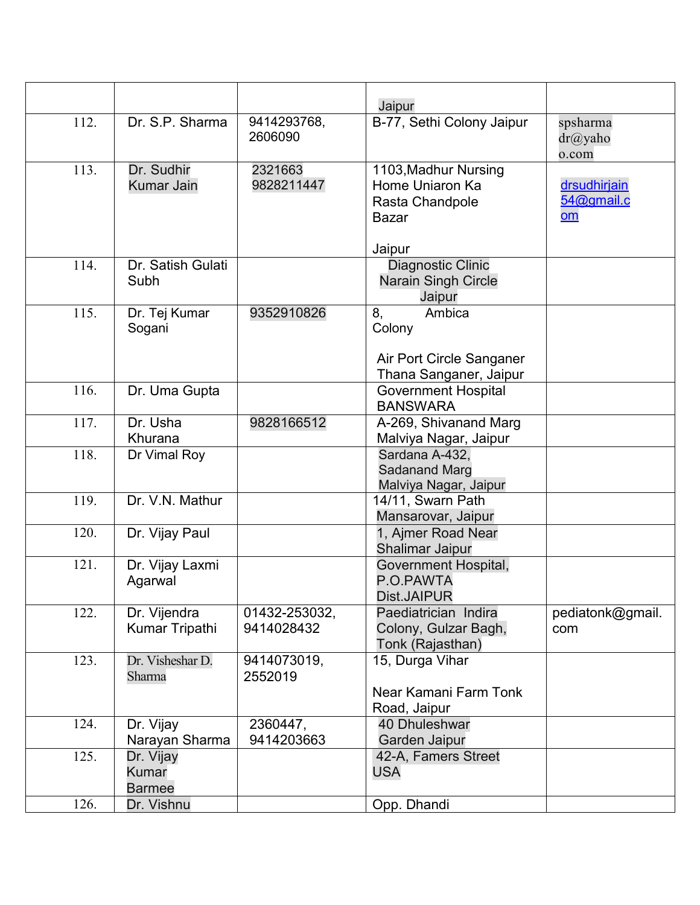|      |                                            |                             | Jaipur                                                                       |                                                    |
|------|--------------------------------------------|-----------------------------|------------------------------------------------------------------------------|----------------------------------------------------|
| 112. | Dr. S.P. Sharma                            | 9414293768,<br>2606090      | B-77, Sethi Colony Jaipur                                                    | spsharma<br>dr@yaho<br>o.com                       |
| 113. | Dr. Sudhir<br><b>Kumar Jain</b>            | 2321663<br>9828211447       | 1103, Madhur Nursing<br>Home Uniaron Ka<br>Rasta Chandpole<br>Bazar          | <b>drsudhirjain</b><br>54@gmail.c<br>$\mathbf{om}$ |
|      |                                            |                             | Jaipur                                                                       |                                                    |
| 114. | Dr. Satish Gulati<br>Subh                  |                             | Diagnostic Clinic<br><b>Narain Singh Circle</b><br>Jaipur                    |                                                    |
| 115. | Dr. Tej Kumar<br>Sogani                    | 9352910826                  | 8,<br>Ambica<br>Colony<br>Air Port Circle Sanganer<br>Thana Sanganer, Jaipur |                                                    |
| 116. | Dr. Uma Gupta                              |                             | <b>Government Hospital</b><br><b>BANSWARA</b>                                |                                                    |
| 117. | Dr. Usha<br>Khurana                        | 9828166512                  | A-269, Shivanand Marg<br>Malviya Nagar, Jaipur                               |                                                    |
| 118. | Dr Vimal Roy                               |                             | Sardana A-432,<br>Sadanand Marg<br>Malviya Nagar, Jaipur                     |                                                    |
| 119. | Dr. V.N. Mathur                            |                             | 14/11, Swarn Path<br>Mansarovar, Jaipur                                      |                                                    |
| 120. | Dr. Vijay Paul                             |                             | 1, Ajmer Road Near<br>Shalimar Jaipur                                        |                                                    |
| 121. | Dr. Vijay Laxmi<br>Agarwal                 |                             | Government Hospital,<br>P.O.PAWTA<br>Dist.JAIPUR                             |                                                    |
| 122. | Dr. Vijendra<br>Kumar Tripathi             | 01432-253032,<br>9414028432 | Paediatrician Indira<br>Colony, Gulzar Bagh,<br>Tonk (Rajasthan)             | pediatonk@gmail.<br>com                            |
| 123. | Dr. Visheshar D.<br>Sharma                 | 9414073019,<br>2552019      | 15, Durga Vihar<br>Near Kamani Farm Tonk<br>Road, Jaipur                     |                                                    |
| 124. | Dr. Vijay<br>Narayan Sharma                | 2360447,<br>9414203663      | 40 Dhuleshwar<br>Garden Jaipur                                               |                                                    |
| 125. | Dr. Vijay<br><b>Kumar</b><br><b>Barmee</b> |                             | 42-A, Famers Street<br><b>USA</b>                                            |                                                    |
| 126. | Dr. Vishnu                                 |                             | Opp. Dhandi                                                                  |                                                    |